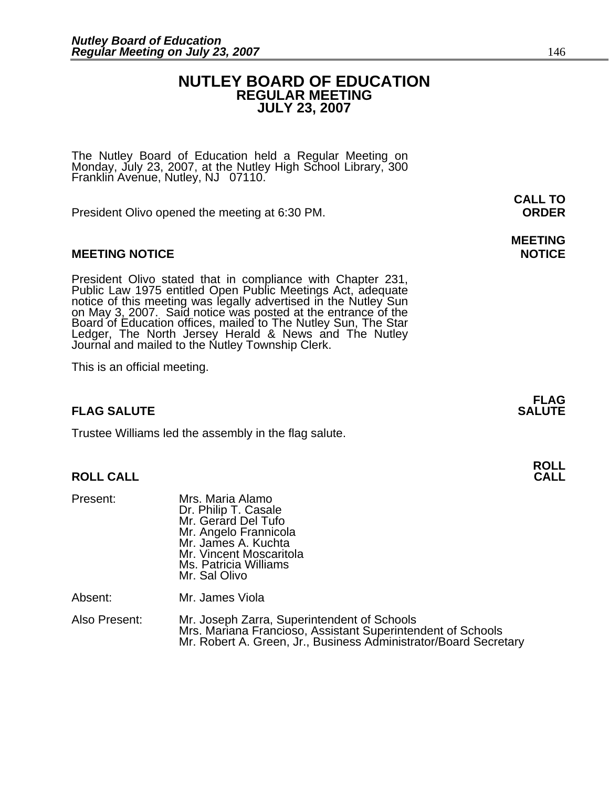### **NUTLEY BOARD OF EDUCATION REGULAR MEETING JULY 23, 2007**

The Nutley Board of Education held a Regular Meeting on Monday, July 23, 2007, at the Nutley High School Library, 300 Franklin Avenue, Nutley, NJ 07110.

President Olivo opened the meeting at 6:30 PM. **ORDER**

#### **MEETING NOTICE NOTICE AND RESERVE ASSESS**

President Olivo stated that in compliance with Chapter 231,<br>Public Law 1975 entitled Open Public Meetings Act, adequate<br>notice of this meeting was legally advertised in the Nutley Sun<br>on May 3, 2007. Said notice was posted Ledger, The North Jersey Herald & News and The Nutley Journal and mailed to the Nutley Township Clerk.

This is an official meeting.

### **FLAG SALUTE** SALUTE SALUTE SALUTE SALUTE SALUTE SALUTE SALUTE SALUTE SALUTE SALUTE SALUTE SALUTE SALUTE SALUTE SALUTE SALUTE SALUTE SALUTE SALUTE SALUTE SALUTE SALUTE SALUTE SALUTE SALUTE SALUTE SALUTE SALUTE SALUTE SALUT

Trustee Williams led the assembly in the flag salute.

#### **ROLL CALL**

| Present:      | Mrs. Maria Alamo<br>Dr. Philip T. Casale<br>Mr. Gerard Del Tufo<br>Mr. Angelo Frannicola<br>Mr. James A. Kuchta<br>Mr. Vincent Moscaritola<br>Ms. Patricia Williams<br>Mr. Sal Olivo |
|---------------|--------------------------------------------------------------------------------------------------------------------------------------------------------------------------------------|
| Absent:       | Mr. James Viola                                                                                                                                                                      |
| Also Present: | Mr. Joseph Zarra, Superintendent of Schools<br>Mrs. Mariana Francioso, Assistant Superintendent of Schools<br>Mr. Robert A. Green, Jr., Business Administrator/Board Secretary       |

**CALL TO** 

# **MEETING**

**FLAG**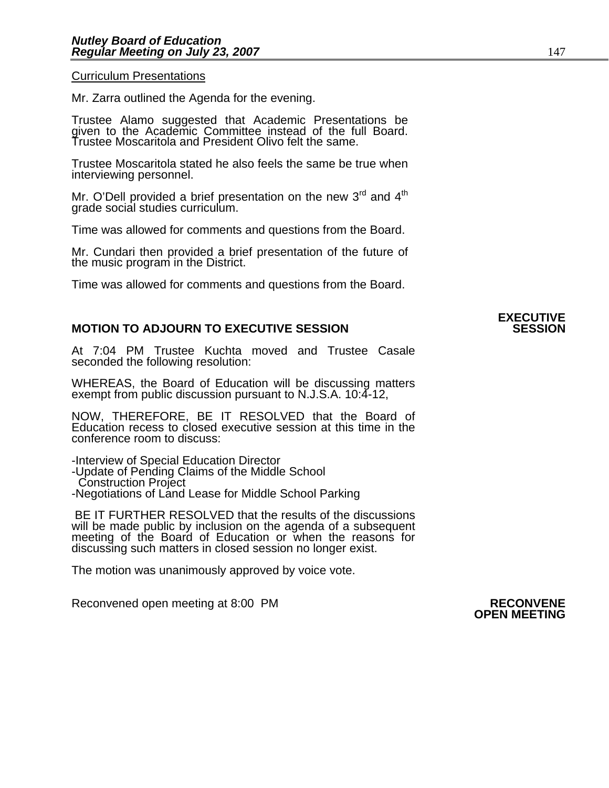Curriculum Presentations

Mr. Zarra outlined the Agenda for the evening.

Trustee Alamo suggested that Academic Presentations be given to the Academic Committee instead of the full Board. Trustee Moscaritola and President Olivo felt the same.

Trustee Moscaritola stated he also feels the same be true when interviewing personnel.

Mr. O'Dell provided a brief presentation on the new  $3<sup>rd</sup>$  and  $4<sup>th</sup>$ grade social studies curriculum.

Time was allowed for comments and questions from the Board.

Mr. Cundari then provided a brief presentation of the future of the music program in the District.

Time was allowed for comments and questions from the Board.

#### **MOTION TO ADJOURN TO EXECUTIVE SESSION**

At 7:04 PM Trustee Kuchta moved and Trustee Casale seconded the following resolution:

WHEREAS, the Board of Education will be discussing matters exempt from public discussion pursuant to N.J.S.A. 10:4-12,

NOW, THEREFORE, BE IT RESOLVED that the Board of Education recess to closed executive session at this time in the conference room to discuss:

-Interview of Special Education Director

-Update of Pending Claims of the Middle School

Construction Project

-Negotiations of Land Lease for Middle School Parking

BE IT FURTHER RESOLVED that the results of the discussions will be made public by inclusion on the agenda of a subsequent meeting of the Board of Education or when the reasons for discussing such matters in closed session no longer exist.

The motion was unanimously approved by voice vote.

Reconvened open meeting at 8:00 PM **RECONVENE OPEN MEETING** 

## **EXECUTIVE**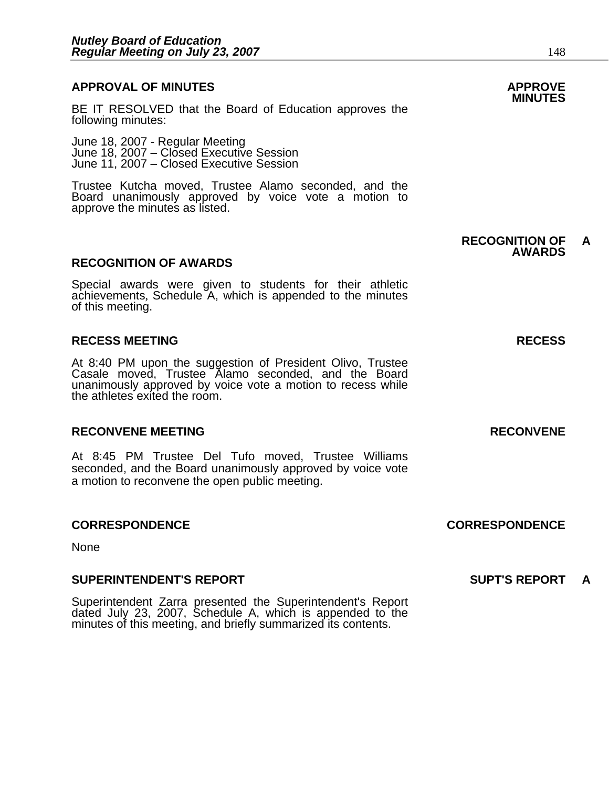## **APPROVAL OF MINUTES APPROVE**

BE IT RESOLVED that the Board of Education approves the following minutes:

 June 18, 2007 - Regular Meeting June 18, 2007 – Closed Executive Session June 11, 2007 – Closed Executive Session

> Trustee Kutcha moved, Trustee Alamo seconded, and the Board unanimously approved by voice vote a motion to approve the minutes as listed.

#### **RECOGNITION OF AWARDS**

Special awards were given to students for their athletic achievements, Schedule A, which is appended to the minutes of this meeting.

#### **RECESS MEETING RECESS**

At 8:40 PM upon the suggestion of President Olivo, Trustee Casale moved, Trustee Alamo seconded, and the Board unanimously approved by voice vote a motion to recess while the athletes exited the room.

#### **RECONVENE MEETING RECONVENE**

At 8:45 PM Trustee Del Tufo moved, Trustee Williams seconded, and the Board unanimously approved by voice vote a motion to reconvene the open public meeting.

#### **CORRESPONDENCE CORRESPONDENCE**

None

#### **SUPERINTENDENT'S REPORT SUPT'S REPORT A**

Superintendent Zarra presented the Superintendent's Report dated July 23, 2007, Schedule A, which is appended to the minutes of this meeting, and briefly summarized its contents.

#### **RECOGNITION OF A AWARDS**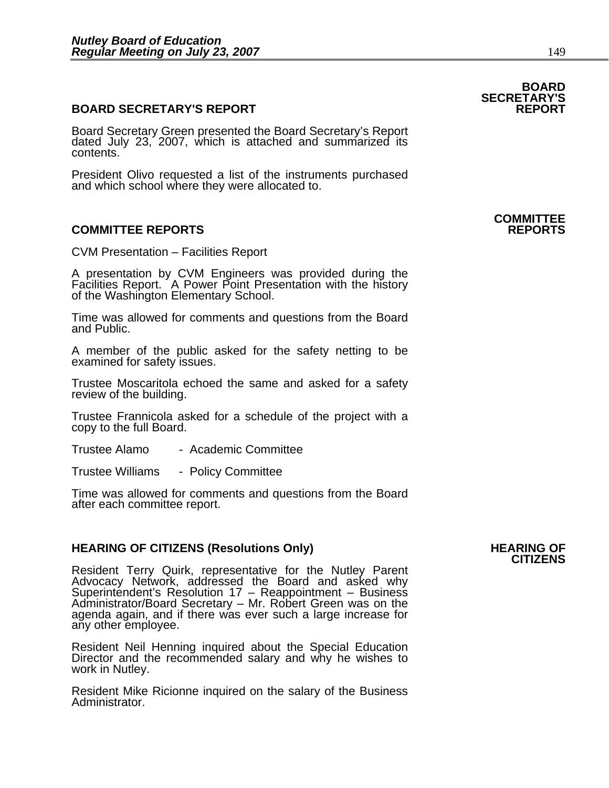#### **BOARD SECRETARY'S REPORT**

Board Secretary Green presented the Board Secretary's Report dated July 23, 2007, which is attached and summarized its contents.

President Olivo requested a list of the instruments purchased and which school where they were allocated to.

#### **COMMITTEE REPORTS REPORTS**

CVM Presentation – Facilities Report

A presentation by CVM Engineers was provided during the Facilities Report. A Power Point Presentation with the history<br>of the Washington Elementary School.

Time was allowed for comments and questions from the Board and Public.

A member of the public asked for the safety netting to be examined for safety issues.

Trustee Moscaritola echoed the same and asked for a safety review of the building.

Trustee Frannicola asked for a schedule of the project with a copy to the full Board.

Trustee Alamo - Academic Committee

Trustee Williams - Policy Committee

Time was allowed for comments and questions from the Board after each committee report.

## **HEARING OF CITIZENS (Resolutions Only) HEARING OF CITIZENS**

Resident Terry Quirk, representative for the Nutley Parent Advocacy Network, addressed the Board and asked why Superintendent's Resolution 17 – Reappointment – Business<br>Administrator/Board Secretary – Mr. Robert Green was on the<br>agenda again, and if there was ever such a large increase for<br>any other employee.

Resident Neil Henning inquired about the Special Education Director and the recommended salary and why he wishes to work in Nutley.

Resident Mike Ricionne inquired on the salary of the Business Administrator.

### **BOARD SECRETARY'S**

## **COMMITTEE**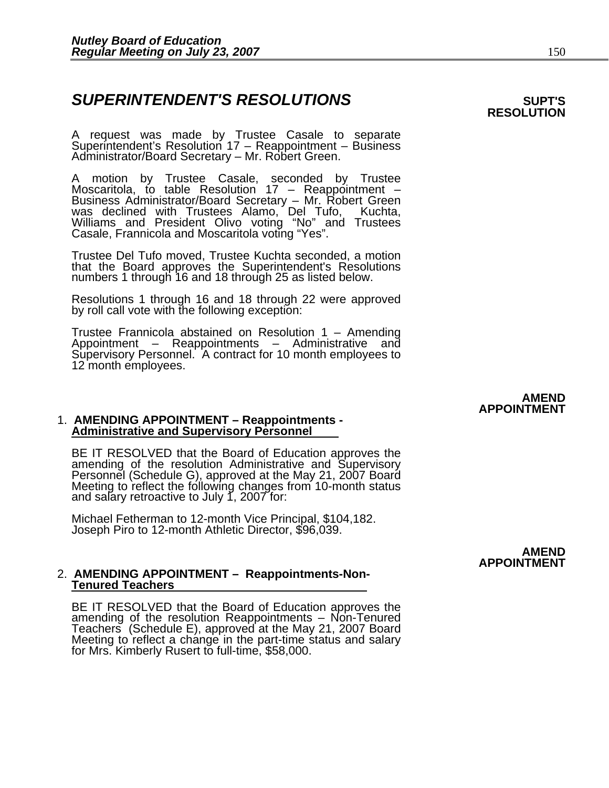### **SUPERINTENDENT'S RESOLUTIONS EXAMPLE ASSESSED ASSESSED ASSESSED ASSESSED ASSESSED ASSESSED ASSESSED ASSESSED ASSESSED ASSESSED ASSESSED ASSESSED ASSESSED ASSESSED ASSESSED ASSESSED ASSESSED ASSESSED ASSESSED ASSESSED AS**

A request was made by Trustee Casale to separate Superintendent's Resolution 17 – Reappointment – Business<br>Administrator/Board Secretary – Mr. Robert Green.

A motion by Trustee Casale, seconded by Trustee Moscaritola, to table Resolution 17 – Reappointment –<br>Business Administrator/Board Secretary – Mr. Robert Green<br>was declined with Trustees Alamo, Del Tufo, Kuchta, Williams and President Olivo voting "No" and Trustees Casale, Frannicola and Moscaritola voting "Yes".

Trustee Del Tufo moved, Trustee Kuchta seconded, a motion that the Board approves the Superintendent's Resolutions numbers 1 through 16 and 18 through 25 as listed below.

Resolutions 1 through 16 and 18 through 22 were approved by roll call vote with the following exception:

Trustee Frannicola abstained on Resolution 1 – Amending<br>Appointment – Reappointments – Administrative and Supervisory Personnel. A contract for 10 month employees to 12 month employees.

1. **AMENDING APPOINTMENT – Reappointments - Administrative and Supervisory Personnel**

BE IT RESOLVED that the Board of Education approves the amending of the resolution Administrative and Supervisory Personnel (Schedule G), approved at the May 21, 2007 Board Meeting to reflect the following changes from 10-

Michael Fetherman to 12-month Vice Principal, \$104,182. Joseph Piro to 12-month Athletic Director, \$96,039.

#### 2. **AMENDING APPOINTMENT – Reappointments-Non-Tenured Teachers**

BE IT RESOLVED that the Board of Education approves the amending of the resolution Reappointments – Non-Tenured Teachers (Schedule E), approved at the May 21, 2007 Board Meeting to reflect a change in the part-time status and salary for Mrs. Kimberly Rusert to full-time, \$58,000.

#### **AMEND APPOINTMENT**

# **RESOLUTION**

**AMEND APPOINTMENT**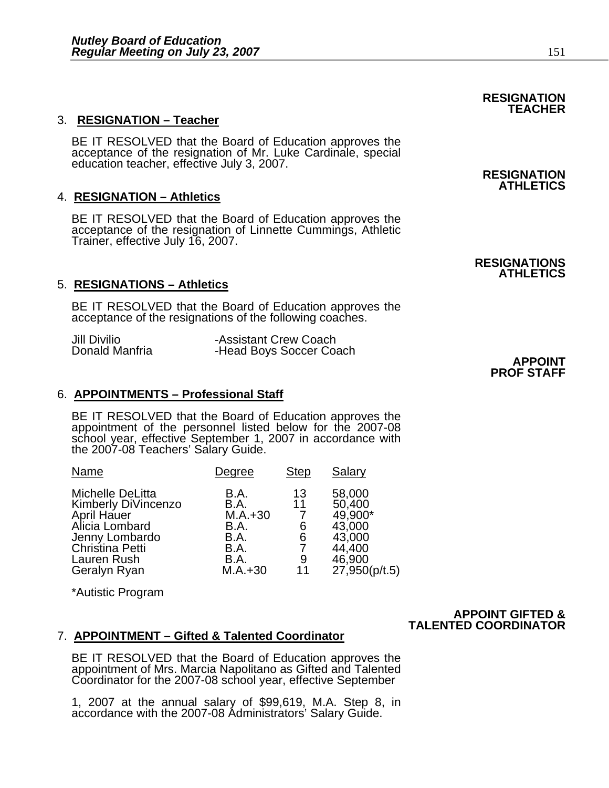#### 3. **RESIGNATION – Teacher**

BE IT RESOLVED that the Board of Education approves the<br>acceptance of the resignation of Mr. Luke Cardinale, special<br>education teacher, effective July 3, 2007. **RESIGNATION** 

#### 4. **RESIGNATION – Athletics**

BE IT RESOLVED that the Board of Education approves the acceptance of the resignation of Linnette Cummings, Athletic Trainer, effective July 16, 2007.

#### 5. **RESIGNATIONS – Athletics**

BE IT RESOLVED that the Board of Education approves the acceptance of the resignations of the following coaches.

| Jill Divilio   | -Assistant Crew Coach   |                |
|----------------|-------------------------|----------------|
| Donald Manfria | -Head Boys Soccer Coach |                |
|                |                         | <b>APPOINT</b> |

#### 6. **APPOINTMENTS – Professional Staff**

BE IT RESOLVED that the Board of Education approves the appointment of the personnel listed below for the 2007-08 school year, effective September 1, 2007 in accordance with the 2007-08 Teachers' Salary Guide.

| Name                                                                                                                                                | Degree                                                                               | <b>Step</b>                   | Salary                                                                               |
|-----------------------------------------------------------------------------------------------------------------------------------------------------|--------------------------------------------------------------------------------------|-------------------------------|--------------------------------------------------------------------------------------|
| Michelle DeLitta<br>Kimberly DiVincenzo<br>April Hauer<br>Alicia Lombard<br>Jenny Lombardo<br><b>Christina Petti</b><br>Lauren Rush<br>Geralyn Ryan | B.A.<br>B.A.<br>$M.A.+30$<br>B.A.<br><b>B.A.</b><br><b>B.A.</b><br>B.A.<br>$M.A.+30$ | 13<br>11<br>6<br>6<br>9<br>11 | 58,000<br>50,400<br>49,900*<br>43,000<br>43,000<br>44,400<br>46,900<br>27,950(p/t.5) |

\*Autistic Program

#### **APPOINT GIFTED & TALENTED COORDINATOR**

#### 7. **APPOINTMENT – Gifted & Talented Coordinator**

BE IT RESOLVED that the Board of Education approves the appointment of Mrs. Marcia Napolitano as Gifted and Talented Coordinator for the 2007-08 school year, effective September

1, 2007 at the annual salary of \$99,619, M.A. Step 8, in accordance with the 2007-08 Administrators' Salary Guide.

**ATHLETICS** 

**RESIGNATION TEACHER** 

**RESIGNATIONS ATHLETICS** 

**PROF STAFF**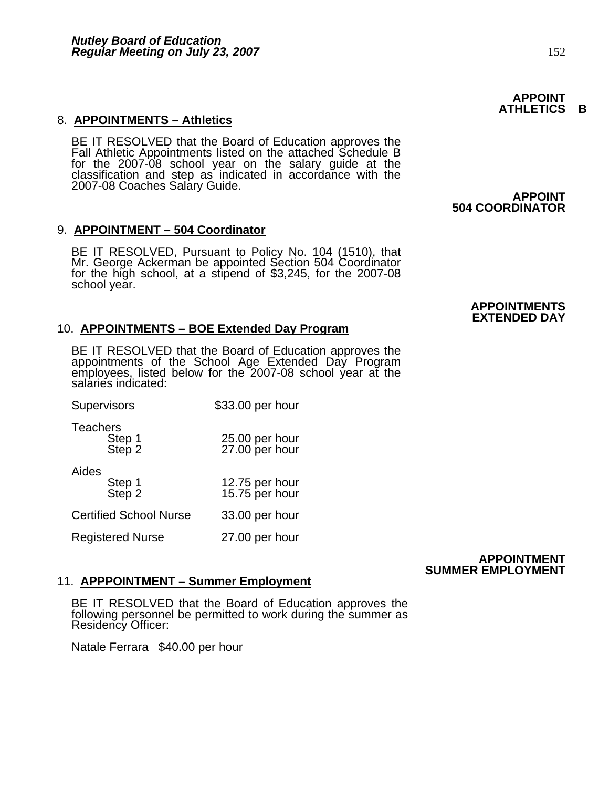#### 8. **APPOINTMENTS – Athletics**

BE IT RESOLVED that the Board of Education approves the Fall Athletic Appointments listed on the attached Schedule B for the 2007-08 school year on the salary guide at the classification and step as indicated in accordance with the 2007-08 Coaches Salary Guide. **APPOINT**

### 9. **APPOINTMENT – 504 Coordinator**

BE IT RESOLVED, Pursuant to Policy No. 104 (1510), that Mr. George Ackerman be appointed Section 504 Coordinator for the high school, at a stipend of \$3,245, for the 2007-08<br>school year.

#### 10. **APPOINTMENTS – BOE Extended Day Program**

BE IT RESOLVED that the Board of Education approves the appointments of the School Age Extended Day Program employees, listed below for the 2007-08 school year at the salaries indicated:

| Supervisors                         | \$33.00 per hour                 |
|-------------------------------------|----------------------------------|
| <b>Teachers</b><br>Step 1<br>Step 2 | 25.00 per hour<br>27.00 per hour |
| Aides<br>Step 1<br>Step 2           | 12.75 per hour<br>15.75 per hour |
| <b>Certified School Nurse</b>       | 33.00 per hour                   |
| <b>Registered Nurse</b>             | 27.00 per hour                   |

#### **APPOINTMENT SUMMER EMPLOYMENT**

#### 11. **APPPOINTMENT – Summer Employment**

BE IT RESOLVED that the Board of Education approves the following personnel be permitted to work during the summer as Residency Officer:

Natale Ferrara \$40.00 per hour

**504 COORDINATOR** 

#### **APPOINTMENTS EXTENDED DAY**

#### **APPOINT ATHLETICS B**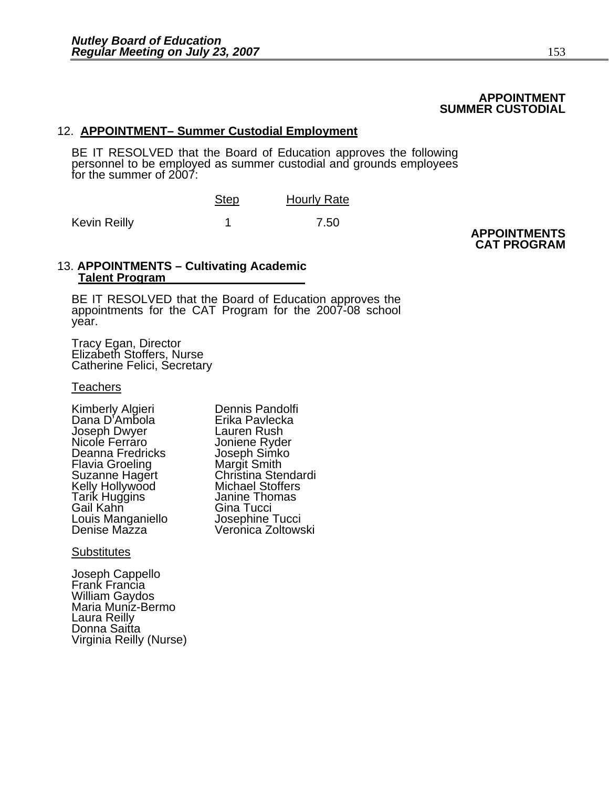#### **APPOINTMENT SUMMER CUSTODIAL**

#### 12. **APPOINTMENT– Summer Custodial Employment**

BE IT RESOLVED that the Board of Education approves the following<br>personnel to be employed as summer custodial and grounds employees for the summer of 2007:

|              | <b>Step</b> | <b>Hourly Rate</b> |
|--------------|-------------|--------------------|
| Kevin Reilly |             | 7.50               |

**APPOINTMENTS CAT PROGRAM** 

#### 13. **APPOINTMENTS – Cultivating Academic Talent Program**

BE IT RESOLVED that the Board of Education approves the appointments for the CAT Program for the 2007-08 school year.

Tracy Egan, Director Elizabeth Stoffers, Nurse Catherine Felici, Secretary

#### **Teachers**

Kimberly Algieri **Dennis Pandolfi** Dana D'Ambola Erika Pavlecka Joseph Dwyer Lauren Rush Deanna Fredricks Joseph Simk<br>Flavia Groeling Margit Smith Flavia Groeling<br>Suzanne Hagert Kelly Hollywood<br>Tarik Huggins Tarik Huggins Janine Thomas<br>Gail Kahn Gina Tucci Louis Manganiello<br>Denise Mazza

Joniene Ryder<br>Joseph Simko Chriština Stendardi<br>Michael Stoffers Gina Tucci<br>Josephine Tucci Veronica Zoltowski

**Substitutes** 

Joseph Cappello Frank Francia William Gaydos Maria Muniz-Bermo Laura Reilly Donna Saitta Virginia Reilly (Nurse)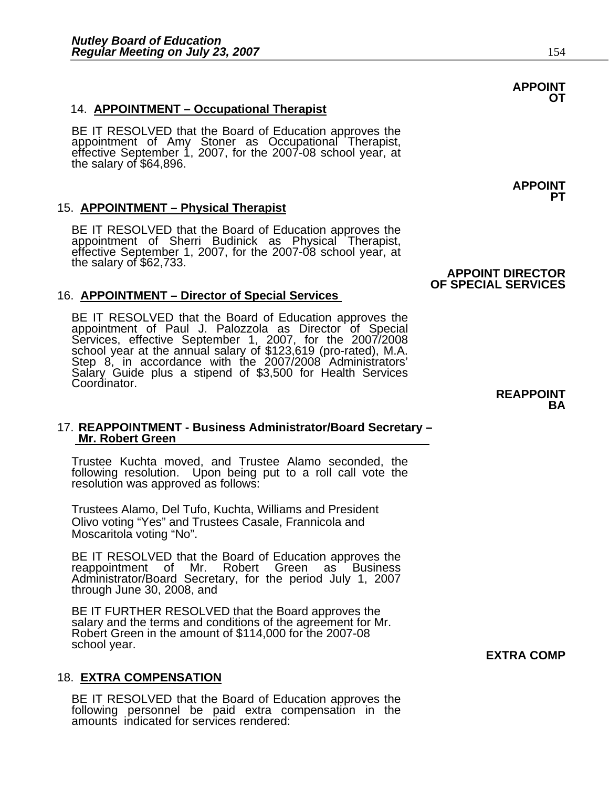#### 14. **APPOINTMENT – Occupational Therapist**

BE IT RESOLVED that the Board of Education approves the appointment of Amy Stoner as Occupational Therapist, effective September 1, 2007, for the 2007-08 school year, at the salary of \$64,896.

#### 15. **APPOINTMENT – Physical Therapist**

BE IT RESOLVED that the Board of Education approves the appointment of Sherri Budinick as Physical Therapist, effective September 1, 2007, for the 2007-08 school year, at the salary of \$62,733.

#### 16. **APPOINTMENT – Director of Special Services**

BE IT RESOLVED that the Board of Education approves the appointment of Paul J. Palozzola as Director of Special Services, effective September 1, 2007, for the 2007/2008 school year at the annual salary of \$123,619 (pro-rat school year at the annual salary of \$123,619 (pro-rated), M.A.<br>Step 8, in accordance with the 2007/2008 Administrators' Salary Guide plus a stipend of \$3,500 for Health Services Coordinator.

# 17. **REAPPOINTMENT - Business Administrator/Board Secretary – Mr. Robert Green**

Trustee Kuchta moved, and Trustee Alamo seconded, the following resolution. Upon being put to a roll call vote the resolution was approved as follows:

Trustees Alamo, Del Tufo, Kuchta, Williams and President Olivo voting "Yes" and Trustees Casale, Frannicola and Moscaritola voting "No".

BE IT RESOLVED that the Board of Education approves the reappointment of Mr. Robert Green as Business Administrator/Board Secretary, for the period July 1, 2007 through June 30, 2008, and

BE IT FURTHER RESOLVED that the Board approves the salary and the terms and conditions of the agreement for Mr.<br>Robert Green in the amount of \$114,000 for the 2007-08<br>school year. school year. **EXTRA COMP** 

#### 18. **EXTRA COMPENSATION**

BE IT RESOLVED that the Board of Education approves the following personnel be paid extra compensation in the amounts indicated for services rendered:

#### **APPOINT OT**

**APPOINT PT** 

### **APPOINT DIRECTOR OF SPECIAL SERVICES**

**REAPPOINT BA**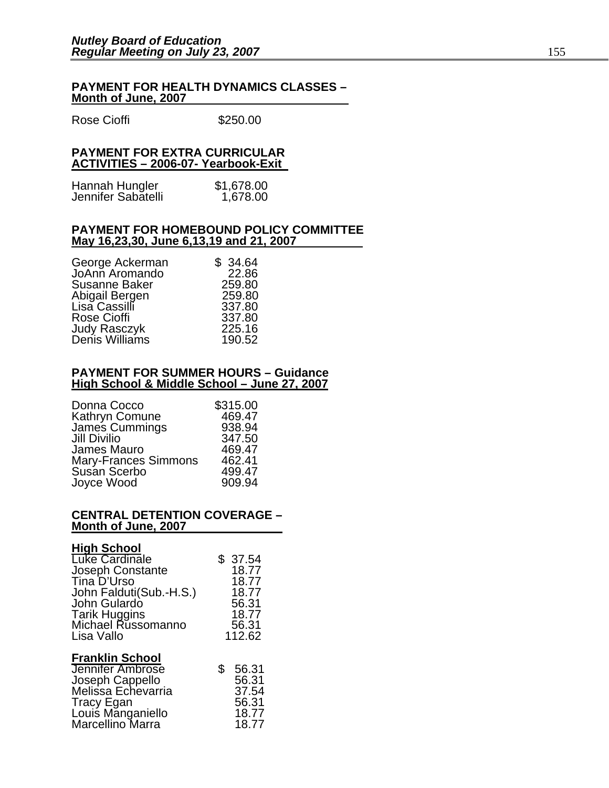#### **PAYMENT FOR HEALTH DYNAMICS CLASSES – Month of June, 2007**

Rose Cioffi **\$250.00** 

#### **PAYMENT FOR EXTRA CURRICULAR ACTIVITIES – 2006-07- Yearbook-Exit**

| Hannah Hungler     | \$1,678.00 |
|--------------------|------------|
| Jennifer Sabatelli | 1,678.00   |

#### **PAYMENT FOR HOMEBOUND POLICY COMMITTEE May 16,23,30, June 6,13,19 and 21, 2007**

| George Ackerman                | \$34.64 |
|--------------------------------|---------|
| JoAnn Aromando                 | 22.86   |
| <b>Susanne Baker</b>           | 259.80  |
| Abigail Bergen                 | 259.80  |
| Lisa Cassilli                  | 337.80  |
| <b>Rose Cioffi</b>             | 337.80  |
| Judy Rasczyk<br>Denis Williams | 225.16  |
|                                | 190.52  |
|                                |         |

#### **PAYMENT FOR SUMMER HOURS – Guidance High School & Middle School – June 27, 2007**

| \$315.00 |
|----------|
| 469.47   |
| 938.94   |
| 347.50   |
| 469.47   |
| 462.41   |
| 499.47   |
| 909.94   |
|          |

#### **CENTRAL DETENTION COVERAGE – Month of June, 2007**

### **High School**

| Luke Cardinale<br>Joseph Constante<br>Tina D'Urso<br>John Falduti(Sub.-H.S.)<br>John Gulardo<br><b>Tarik Huggins</b><br>Michael Russomanno<br>Lisa Vallo | \$<br>37.54<br>18.77<br>18.77<br>18.77<br>56.31<br>18.77<br>56.31<br>112.62 |
|----------------------------------------------------------------------------------------------------------------------------------------------------------|-----------------------------------------------------------------------------|
| <b>Franklin School</b><br><b>Jennifer Ambrose</b><br>Joseph Cappello<br>Melissa Echevarria<br>Tracy Egan<br>Louis Manganiello<br>Marcellino Marra        | \$<br>56.31<br>56.31<br>37.54<br>56.31<br>18.77<br>18.77                    |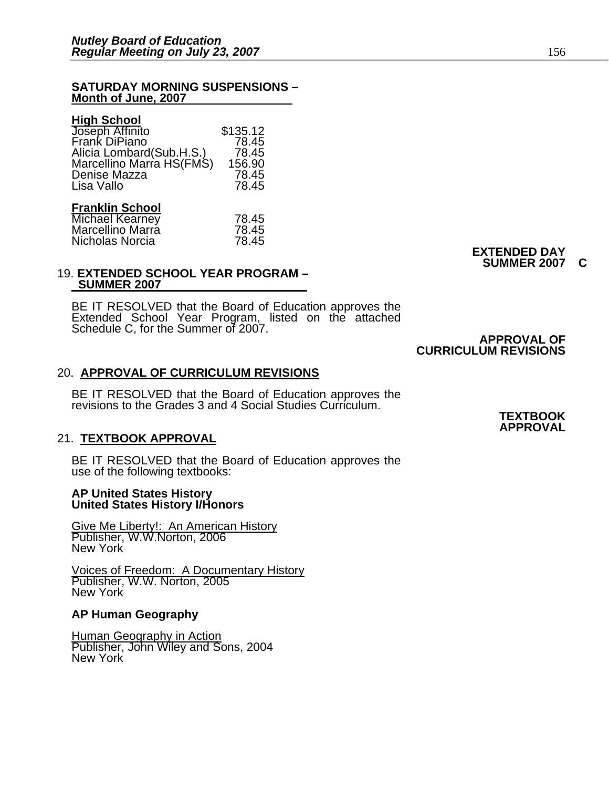#### **SATURDAY MORNING SUSPENSIONS – Month of June, 2007**

#### **High School**

| Joseph Affinito<br>Frank DiPiano<br>Alicia Lombard(Sub.H.S.)<br>Marcellino Marra HS(FMS)<br>Denise Mazza<br>Lisa Vallo | \$135.12<br>78.45<br>78.45<br>156.90<br>78.45<br>78.45 |
|------------------------------------------------------------------------------------------------------------------------|--------------------------------------------------------|
| <b>Franklin School</b><br><b>Michael Kearney</b>                                                                       | 78.45                                                  |

| .     |
|-------|
| 78.45 |
| 78.45 |
|       |

#### 19. **EXTENDED SCHOOL YEAR PROGRAM – SUMMER 2007**

BE IT RESOLVED that the Board of Education approves the Extended School Year Program, listed on the attached Schedule C, for the Summer of 2007.

### **APPROVAL OF CURRICULUM REVISIONS**

#### 20. **APPROVAL OF CURRICULUM REVISIONS**

BE IT RESOLVED that the Board of Education approves the revisions to the Grades 3 and 4 Social Studies Curriculum.

#### 21. **TEXTBOOK APPROVAL**

BE IT RESOLVED that the Board of Education approves the use of the following textbooks:

#### **AP United States History United States History I/Honors**

Give Me Liberty!: An American History Publisher, W.W.Norton, 2006 New York

Voices of Freedom: A Documentary History Publisher, W.W. Norton, 2005 New York

#### **AP Human Geography**

Human Geography in Action Publisher, John Wiley and Sons, 2004 New York

**EXTENDED DAY SUMMER 2007 C**

#### **TEXTBOOK APPROVAL**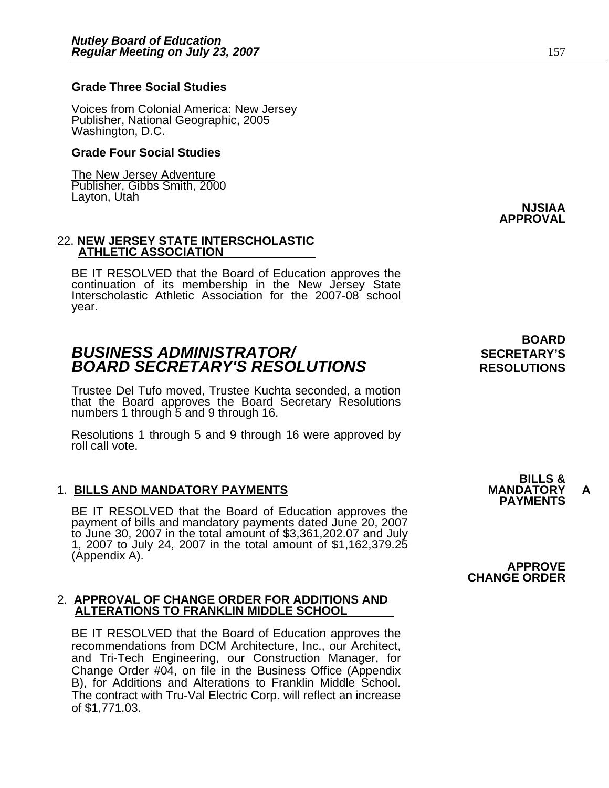Voices from Colonial America: New Jersey Publisher, National Geographic, 2005 Washington, D.C.

#### **Grade Four Social Studies**

The New Jersey Adventure Publisher, Gibbs Smith, 2000<br>Layton, Utah Layton, Utah **NJSIAA**

#### 22. **NEW JERSEY STATE INTERSCHOLASTIC ATHLETIC ASSOCIATION**

BE IT RESOLVED that the Board of Education approves the continuation of its membership in the New Jersey State Interscholastic Athletic Association for the 2007-08 school year.

### **BUSINESS ADMINISTRATOR/** *BUSINESS ADMINISTRATOR/* **BOARD SECRETARY'S RESOLUTIONS** RESOLUTIONS

Trustee Del Tufo moved, Trustee Kuchta seconded, a motion that the Board approves the Board Secretary Resolutions numbers 1 through 5 and 9 through 16.

Resolutions 1 through 5 and 9 through 16 were approved by roll call vote.

#### 1. **BILLS AND MANDATORY PAYMENTS MANDATORY A**

BE IT RESOLVED that the Board of Education approves the<br>payment of bills and mandatory payments dated June 20, 2007<br>to June 30, 2007 in the total amount of \$3,361,202.07 and July<br>1, 2007 to July 24, 2007 in the total amoun

#### 2. **APPROVAL OF CHANGE ORDER FOR ADDITIONS AND ALTERATIONS TO FRANKLIN MIDDLE SCHOOL**

BE IT RESOLVED that the Board of Education approves the recommendations from DCM Architecture, Inc., our Architect, and Tri-Tech Engineering, our Construction Manager, for Change Order #04, on file in the Business Office (Appendix B), for Additions and Alterations to Franklin Middle School. The contract with Tru-Val Electric Corp. will reflect an increase of \$1,771.03.

**BOARD** 

**APPROVAL**

**CHANGE ORDER**

**BILLS &** 

**PAYMENTS**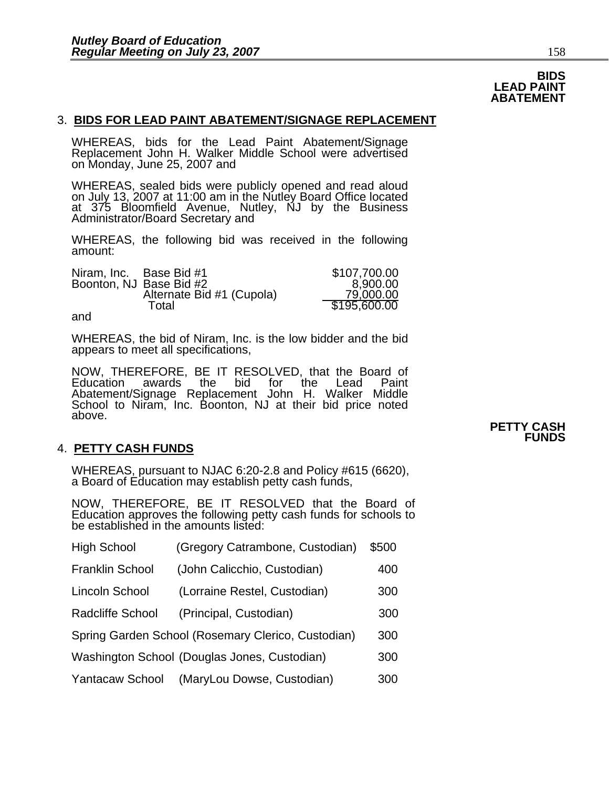### **BIDS LEAD PAINT ABATEMENT**

#### 3. **BIDS FOR LEAD PAINT ABATEMENT/SIGNAGE REPLACEMENT**

WHEREAS, bids for the Lead Paint Abatement/Signage Replacement John H. Walker Middle School were advertised on Monday, June 25, 2007 and

WHEREAS, sealed bids were publicly opened and read aloud on July 13, 2007 at 11:00 am in the Nutley Board Office located at 375 Bloomfield Avenue, Nutley, NJ by the Business Administrator/Board Secretary and

WHEREAS, the following bid was received in the following amount:

| Niram, Inc. | Base Bid #1               | \$107,700.00 |
|-------------|---------------------------|--------------|
|             | Boonton, NJ Base Bid #2   | 8,900.00     |
|             | Alternate Bid #1 (Cupola) | 79,000.00    |
|             | Total                     | \$195,600.00 |
| and         |                           |              |

and

WHEREAS, the bid of Niram, Inc. is the low bidder and the bid appears to meet all specifications,

NOW, THEREFORE, BE IT RESOLVED, that the Board of<br>Education awards the bid for the Lead Paint Education awards the bid for the Lead Paint Abatement/Signage Replacement John H. Walker Middle School to Niram, Inc. Boonton, NJ at their bid price noted above.

#### 4. **PETTY CASH FUNDS**

WHEREAS, pursuant to NJAC 6:20-2.8 and Policy #615 (6620), a Board of Education may establish petty cash funds,

NOW, THEREFORE, BE IT RESOLVED that the Board of Education approves the following petty cash funds for schools to be established in the amounts listed:

| <b>High School</b>                                    | (Gregory Catrambone, Custodian) | \$500 |  |
|-------------------------------------------------------|---------------------------------|-------|--|
| <b>Franklin School</b>                                | (John Calicchio, Custodian)     | 400   |  |
| (Lorraine Restel, Custodian)<br><b>Lincoln School</b> |                                 | 300   |  |
| <b>Radcliffe School</b>                               | (Principal, Custodian)          | 300   |  |
| Spring Garden School (Rosemary Clerico, Custodian)    |                                 |       |  |
| Washington School (Douglas Jones, Custodian)<br>300   |                                 |       |  |
| <b>Yantacaw School</b>                                | (MaryLou Dowse, Custodian)      | 300   |  |

**PETTY CASH FUNDS**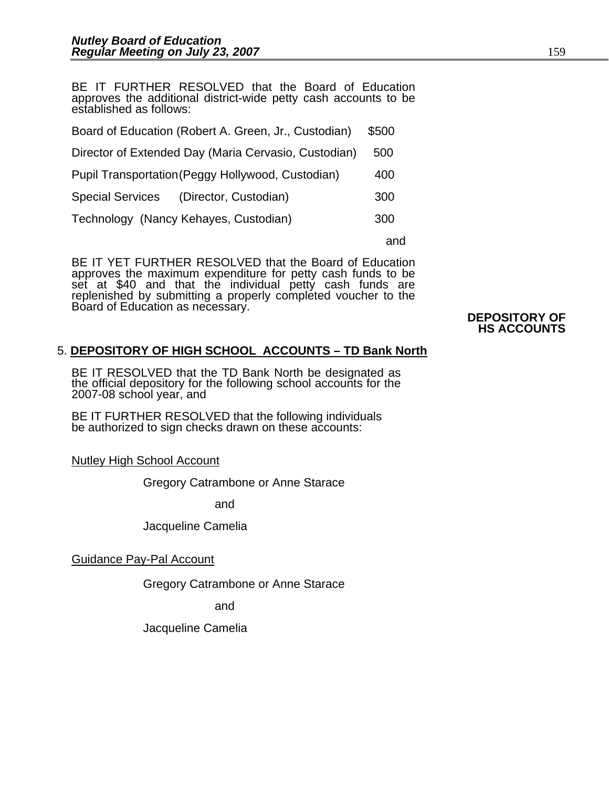BE IT FURTHER RESOLVED that the Board of Education approves the additional district-wide petty cash accounts to be established as follows:

| Board of Education (Robert A. Green, Jr., Custodian) |     |  |
|------------------------------------------------------|-----|--|
| Director of Extended Day (Maria Cervasio, Custodian) |     |  |
| Pupil Transportation (Peggy Hollywood, Custodian)    |     |  |
| Special Services (Director, Custodian)               | 300 |  |
| Technology (Nancy Kehayes, Custodian)                |     |  |
|                                                      |     |  |

BE IT YET FURTHER RESOLVED that the Board of Education approves the maximum expenditure for petty cash funds to be set at \$40 and that the individual petty cash funds are replenished by submitting a properly completed voucher to the Board of Education as necessary. <br> **DEPOSITORY OF** 

## **HS ACCOUNTS**

### 5. **DEPOSITORY OF HIGH SCHOOL ACCOUNTS – TD Bank North**

BE IT RESOLVED that the TD Bank North be designated as the official depository for the following school accounts for the 2007-08 school year, and

BE IT FURTHER RESOLVED that the following individuals be authorized to sign checks drawn on these accounts:

Nutley High School Account

Gregory Catrambone or Anne Starace

and

Jacqueline Camelia

Guidance Pay-Pal Account

Gregory Catrambone or Anne Starace

and

Jacqueline Camelia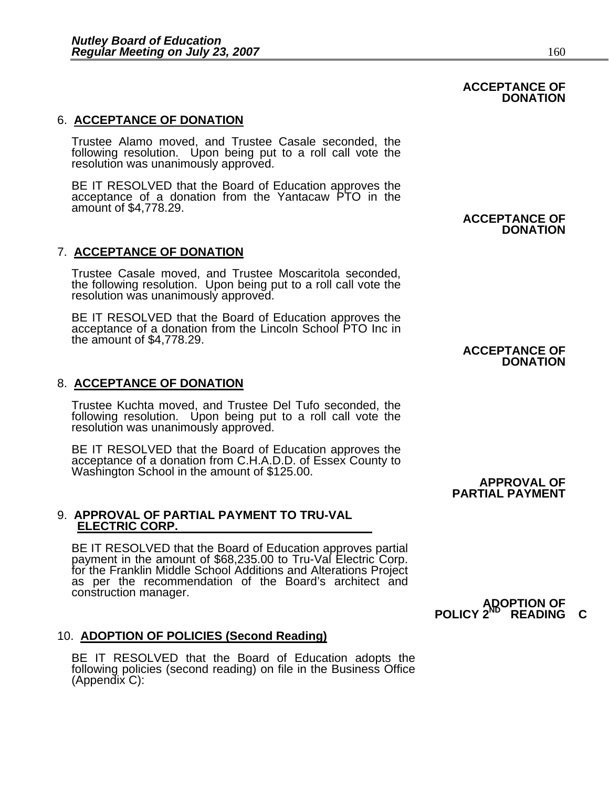#### 6. **ACCEPTANCE OF DONATION**

Trustee Alamo moved, and Trustee Casale seconded, the following resolution. Upon being put to a roll call vote the resolution was unanimously approved.

BE IT RESOLVED that the Board of Education approves the acceptance of a donation from the Yantacaw PTO in the amount of \$4,778.29.

#### 7. **ACCEPTANCE OF DONATION**

Trustee Casale moved, and Trustee Moscaritola seconded, the following resolution. Upon being put to a roll call vote the resolution was unanimously approved.

BE IT RESOLVED that the Board of Education approves the acceptance of a donation from the Lincoln School PTO Inc in the amount of \$4,778.29.

#### 8. **ACCEPTANCE OF DONATION**

Trustee Kuchta moved, and Trustee Del Tufo seconded, the following resolution. Upon being put to a roll call vote the resolution was unanimously approved.

BE IT RESOLVED that the Board of Education approves the<br>acceptance of a donation from C.H.A.D.D. of Essex County to<br>Washington School in the amount of \$125.00. **APPROVAL OF** 

## 9. **APPROVAL OF PARTIAL PAYMENT TO TRU-VAL ELECTRIC CORP.**

BE IT RESOLVED that the Board of Education approves partial payment in the amount of \$68,235.00 to Tru-Val Electric Corp. for the Franklin Middle School Additions and Alterations Project as per the recommendation of the Board's architect and construction manager. construction manager. **ADOPTION OF** 

# **POLICY 2<sup>ND</sup> READING C**

**PARTIAL PAYMENT**

#### 10. **ADOPTION OF POLICIES (Second Reading)**

BE IT RESOLVED that the Board of Education adopts the following policies (second reading) on file in the Business Office (Appendix C):

**ACCEPTANCE OF DONATION** 

#### **ACCEPTANCE OF DONATION**

### **ACCEPTANCE OF DONATION**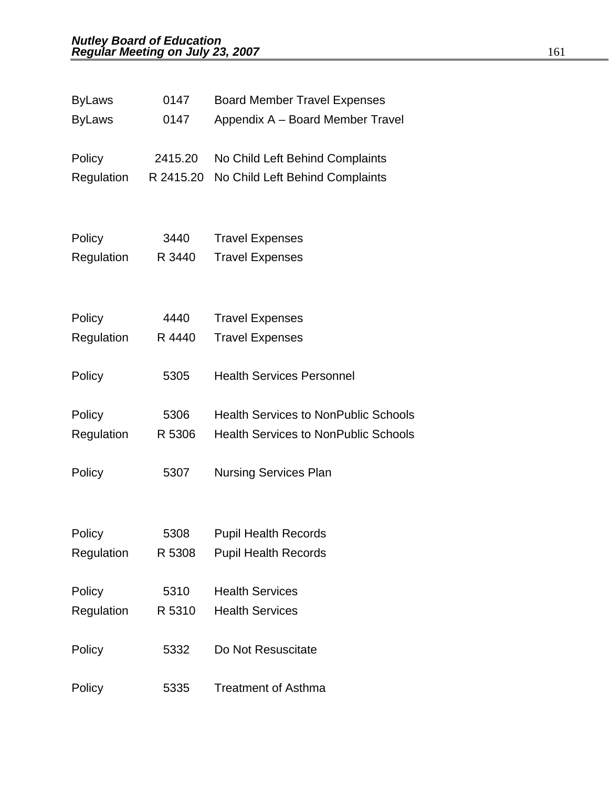| <b>ByLaws</b> | 0147      | <b>Board Member Travel Expenses</b>         |
|---------------|-----------|---------------------------------------------|
| <b>ByLaws</b> | 0147      | Appendix A - Board Member Travel            |
| Policy        | 2415.20   | No Child Left Behind Complaints             |
| Regulation    | R 2415.20 | No Child Left Behind Complaints             |
|               |           |                                             |
| Policy        | 3440      | <b>Travel Expenses</b>                      |
| Regulation    | R 3440    | <b>Travel Expenses</b>                      |
| Policy        | 4440      | <b>Travel Expenses</b>                      |
| Regulation    | R 4440    | <b>Travel Expenses</b>                      |
|               |           |                                             |
| Policy        | 5305      | <b>Health Services Personnel</b>            |
| Policy        | 5306      | <b>Health Services to NonPublic Schools</b> |
| Regulation    | R 5306    | <b>Health Services to NonPublic Schools</b> |
| Policy        | 5307      | <b>Nursing Services Plan</b>                |
|               |           |                                             |
| Policy        | 5308      | <b>Pupil Health Records</b>                 |
| Regulation    | R 5308    | <b>Pupil Health Records</b>                 |
| Policy        | 5310      | <b>Health Services</b>                      |
| Regulation    | R 5310    | <b>Health Services</b>                      |
| Policy        | 5332      | Do Not Resuscitate                          |
| Policy        | 5335      | <b>Treatment of Asthma</b>                  |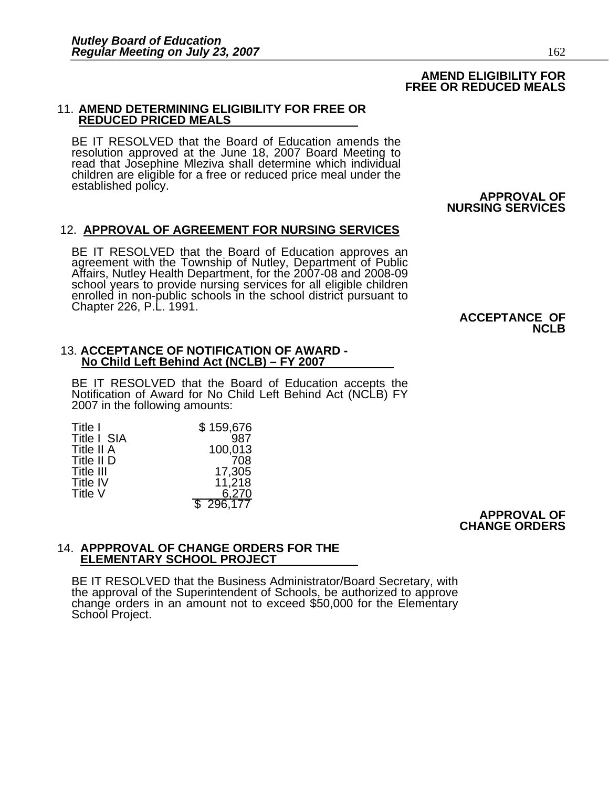#### **AMEND ELIGIBILITY FOR FREE OR REDUCED MEALS**

#### 11. **AMEND DETERMINING ELIGIBILITY FOR FREE OR REDUCED PRICED MEALS**

BE IT RESOLVED that the Board of Education amends the resolution approved at the June 18, 2007 Board Meeting to<br>read that Josephine Mleziva shall determine which individual read that Josephine Mleziva shall determine which individual<br>children are eligible for a free or reduced price meal under the<br>established policy.<br>**APPROVAL OF** 

## **NURSING SERVICES**

#### 12. **APPROVAL OF AGREEMENT FOR NURSING SERVICES**

BE IT RESOLVED that the Board of Education approves an agreement with the Township of Nutley, Department of Public Affairs, Nutley Health Department, for the 2007-08 and 2008-09 school years to provide nursing services for enrolled in non-public schools in the school district pursuant to<br>Chapter 226, P.L. 1991. **ACCEPTANCE OF NCLB**<br>**ACCEPTANCE OF** 

#### 13. **ACCEPTANCE OF NOTIFICATION OF AWARD - No Child Left Behind Act (NCLB) – FY 2007**

BE IT RESOLVED that the Board of Education accepts the Notification of Award for No Child Left Behind Act (NCLB) FY 2007 in the following amounts:

| Title I     | \$159,676 |
|-------------|-----------|
| Title I SIA | 987       |
| Title II A  | 100,013   |
| Title II D  | 708       |
| Title III   | 17,305    |
| Title IV    | 11,218    |
| Title V     | 6,270     |
|             | \$296,177 |

**APPROVAL OF CHANGE ORDERS**

#### 14. **APPPROVAL OF CHANGE ORDERS FOR THE ELEMENTARY SCHOOL PROJECT**

BE IT RESOLVED that the Business Administrator/Board Secretary, with the approval of the Superintendent of Schools, be authorized to approve change orders in an amount not to exceed \$50,000 for the Elementary School Project.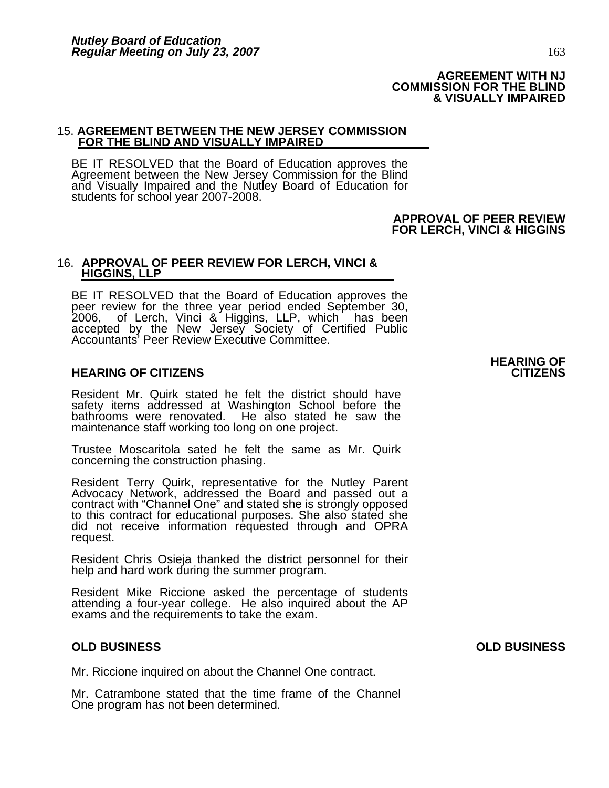#### **AGREEMENT WITH NJ COMMISSION FOR THE BLIND & VISUALLY IMPAIRED**

# 15. **AGREEMENT BETWEEN THE NEW JERSEY COMMISSION FOR THE BLIND AND VISUALLY IMPAIRED**

BE IT RESOLVED that the Board of Education approves the Agreement between the New Jersey Commission for the Blind and Visually Impaired and the Nutley Board of Education for students for school year 2007-2008.

> **APPROVAL OF PEER REVIEW FOR LERCH, VINCI & HIGGINS**

#### 16. **APPROVAL OF PEER REVIEW FOR LERCH, VINCI & HIGGINS, LLP**

BE IT RESOLVED that the Board of Education approves the<br>peer review for the three year period ended September 30,<br>2006, of Lerch, Vinci & Higgins, LLP, which has been accepted by the New Jersey Society of Certified Public Accountants' Peer Review Executive Committee.

#### **HEARING OF CITIZENS CITIZENS**

Resident Mr. Quirk stated he felt the district should have safety items addressed at Washington School before the bathrooms were renovated. He also stated he saw the maintenance staff working too long on one project.

Trustee Moscaritola sated he felt the same as Mr. Quirk concerning the construction phasing.

Resident Terry Quirk, representative for the Nutley Parent<br>Advocacy Network, addressed the Board and passed out a<br>contract with "Channel One" and stated she is strongly opposed<br>to this contract for educational purposes. Sh request.

Resident Chris Osieja thanked the district personnel for their help and hard work during the summer program.

Resident Mike Riccione asked the percentage of students attending a four-year college. He also inquired about the AP exams and the requirements to take the exam.

Mr. Riccione inquired on about the Channel One contract.

Mr. Catrambone stated that the time frame of the Channel One program has not been determined.

**HEARING OF**